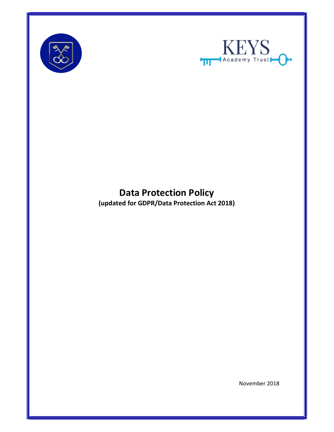



# Data Protection Policy

(updated for GDPR/Data Protection Act 2018)

November 2018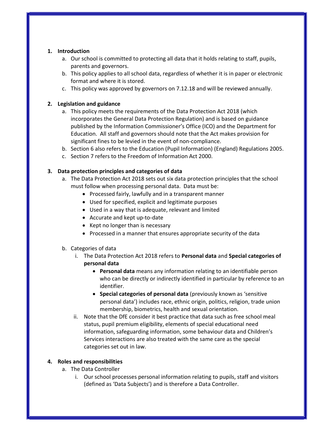### 1. Introduction

- a. Our school is committed to protecting all data that it holds relating to staff, pupils, parents and governors.
- b. This policy applies to all school data, regardless of whether it is in paper or electronic format and where it is stored.
- c. This policy was approved by governors on 7.12.18 and will be reviewed annually.

#### 2. Legislation and guidance

- a. This policy meets the requirements of the Data Protection Act 2018 (which incorporates the General Data Protection Regulation) and is based on guidance published by the Information Commissioner's Office (ICO) and the Department for Education. All staff and governors should note that the Act makes provision for significant fines to be levied in the event of non-compliance.
- b. Section 6 also refers to the Education (Pupil Information) (England) Regulations 2005.
- c. Section 7 refers to the Freedom of Information Act 2000.

#### 3. Data protection principles and categories of data

- a. The Data Protection Act 2018 sets out six data protection principles that the school must follow when processing personal data. Data must be:
	- Processed fairly, lawfully and in a transparent manner
	- Used for specified, explicit and legitimate purposes
	- Used in a way that is adequate, relevant and limited
	- Accurate and kept up-to-date
	- Kept no longer than is necessary
	- Processed in a manner that ensures appropriate security of the data

#### b. Categories of data

- i. The Data Protection Act 2018 refers to Personal data and Special categories of personal data
	- Personal data means any information relating to an identifiable person who can be directly or indirectly identified in particular by reference to an identifier.
	- Special categories of personal data (previously known as 'sensitive personal data') includes race, ethnic origin, politics, religion, trade union membership, biometrics, health and sexual orientation.
- ii. Note that the DfE consider it best practice that data such as free school meal status, pupil premium eligibility, elements of special educational need information, safeguarding information, some behaviour data and Children's Services interactions are also treated with the same care as the special categories set out in law.

#### 4. Roles and responsibilities

- a. The Data Controller
	- i. Our school processes personal information relating to pupils, staff and visitors (defined as 'Data Subjects') and is therefore a Data Controller.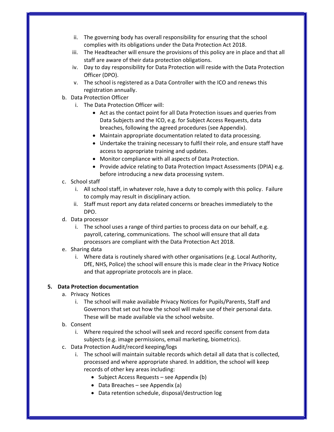- ii. The governing body has overall responsibility for ensuring that the school complies with its obligations under the Data Protection Act 2018.
- iii. The Headteacher will ensure the provisions of this policy are in place and that all staff are aware of their data protection obligations.
- iv. Day to day responsibility for Data Protection will reside with the Data Protection Officer (DPO).
- v. The school is registered as a Data Controller with the ICO and renews this registration annually.
- b. Data Protection Officer
	- i. The Data Protection Officer will:
		- Act as the contact point for all Data Protection issues and queries from Data Subjects and the ICO, e.g. for Subject Access Requests, data breaches, following the agreed procedures (see Appendix).
		- Maintain appropriate documentation related to data processing.
		- Undertake the training necessary to fulfil their role, and ensure staff have access to appropriate training and updates.
		- Monitor compliance with all aspects of Data Protection.
		- Provide advice relating to Data Protection Impact Assessments (DPIA) e.g. before introducing a new data processing system.
- c. School staff
	- i. All school staff, in whatever role, have a duty to comply with this policy. Failure to comply may result in disciplinary action.
	- ii. Staff must report any data related concerns or breaches immediately to the DPO.
- d. Data processor
	- i. The school uses a range of third parties to process data on our behalf, e.g. payroll, catering, communications. The school will ensure that all data processors are compliant with the Data Protection Act 2018.
- e. Sharing data
	- i. Where data is routinely shared with other organisations (e.g. Local Authority, DfE, NHS, Police) the school will ensure this is made clear in the Privacy Notice and that appropriate protocols are in place.

### 5. Data Protection documentation

- a. Privacy Notices
	- i. The school will make available Privacy Notices for Pupils/Parents, Staff and Governors that set out how the school will make use of their personal data. These will be made available via the school website.
- b. Consent
	- i. Where required the school will seek and record specific consent from data subjects (e.g. image permissions, email marketing, biometrics).
- c. Data Protection Audit/record keeping/logs
	- i. The school will maintain suitable records which detail all data that is collected, processed and where appropriate shared. In addition, the school will keep records of other key areas including:
		- Subject Access Requests see Appendix (b)
		- Data Breaches see Appendix (a)
		- Data retention schedule, disposal/destruction log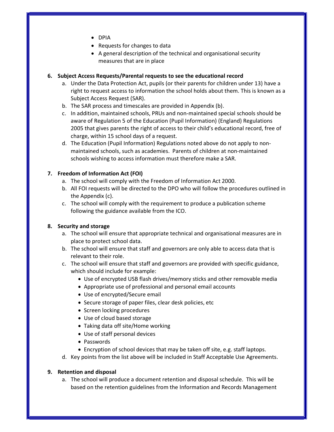- DPIA
- Requests for changes to data
- A general description of the technical and organisational security measures that are in place

### 6. Subject Access Requests/Parental requests to see the educational record

- a. Under the Data Protection Act, pupils (or their parents for children under 13) have a right to request access to information the school holds about them. This is known as a Subject Access Request (SAR).
- b. The SAR process and timescales are provided in Appendix (b).
- c. In addition, maintained schools, PRUs and non-maintained special schools should be aware of Regulation 5 of the Education (Pupil Information) (England) Regulations 2005 that gives parents the right of access to their child's educational record, free of charge, within 15 school days of a request.
- d. The Education (Pupil Information) Regulations noted above do not apply to nonmaintained schools, such as academies. Parents of children at non-maintained schools wishing to access information must therefore make a SAR.

#### 7. Freedom of Information Act (FOI)

- a. The school will comply with the Freedom of Information Act 2000.
- b. All FOI requests will be directed to the DPO who will follow the procedures outlined in the Appendix (c).
- c. The school will comply with the requirement to produce a publication scheme following the guidance available from the ICO.

#### 8. Security and storage

- a. The school will ensure that appropriate technical and organisational measures are in place to protect school data.
- b. The school will ensure that staff and governors are only able to access data that is relevant to their role.
- c. The school will ensure that staff and governors are provided with specific guidance, which should include for example:
	- Use of encrypted USB flash drives/memory sticks and other removable media
	- Appropriate use of professional and personal email accounts
	- Use of encrypted/Secure email
	- Secure storage of paper files, clear desk policies, etc
	- Screen locking procedures
	- Use of cloud based storage
	- Taking data off site/Home working
	- Use of staff personal devices
	- Passwords
	- Encryption of school devices that may be taken off site, e.g. staff laptops.
- d. Key points from the list above will be included in Staff Acceptable Use Agreements.

#### 9. Retention and disposal

a. The school will produce a document retention and disposal schedule. This will be based on the retention guidelines from the Information and Records Management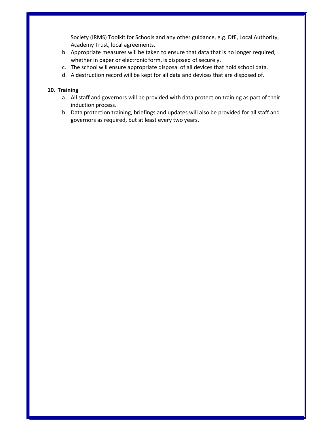Society (IRMS) Toolkit for Schools and any other guidance, e.g. DfE, Local Authority, Academy Trust, local agreements.

- b. Appropriate measures will be taken to ensure that data that is no longer required, whether in paper or electronic form, is disposed of securely.
- c. The school will ensure appropriate disposal of all devices that hold school data.
- d. A destruction record will be kept for all data and devices that are disposed of.

#### 10. Training

- a. All staff and governors will be provided with data protection training as part of their induction process.
- b. Data protection training, briefings and updates will also be provided for all staff and governors as required, but at least every two years.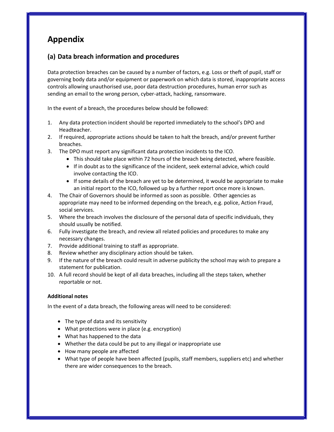## Appendix

## (a) Data breach information and procedures

Data protection breaches can be caused by a number of factors, e.g. Loss or theft of pupil, staff or governing body data and/or equipment or paperwork on which data is stored, inappropriate access controls allowing unauthorised use, poor data destruction procedures, human error such as sending an email to the wrong person, cyber-attack, hacking, ransomware.

In the event of a breach, the procedures below should be followed:

- 1. Any data protection incident should be reported immediately to the school's DPO and Headteacher.
- 2. If required, appropriate actions should be taken to halt the breach, and/or prevent further breaches.
- 3. The DPO must report any significant data protection incidents to the ICO.
	- This should take place within 72 hours of the breach being detected, where feasible.
	- If in doubt as to the significance of the incident, seek external advice, which could involve contacting the ICO.
	- If some details of the breach are yet to be determined, it would be appropriate to make an initial report to the ICO, followed up by a further report once more is known.
- 4. The Chair of Governors should be informed as soon as possible. Other agencies as appropriate may need to be informed depending on the breach, e.g. police, Action Fraud, social services.
- 5. Where the breach involves the disclosure of the personal data of specific individuals, they should usually be notified.
- 6. Fully investigate the breach, and review all related policies and procedures to make any necessary changes.
- 7. Provide additional training to staff as appropriate.
- 8. Review whether any disciplinary action should be taken.
- 9. If the nature of the breach could result in adverse publicity the school may wish to prepare a statement for publication.
- 10. A full record should be kept of all data breaches, including all the steps taken, whether reportable or not.

#### Additional notes

In the event of a data breach, the following areas will need to be considered:

- The type of data and its sensitivity
- What protections were in place (e.g. encryption)
- What has happened to the data
- Whether the data could be put to any illegal or inappropriate use
- How many people are affected
- What type of people have been affected (pupils, staff members, suppliers etc) and whether there are wider consequences to the breach.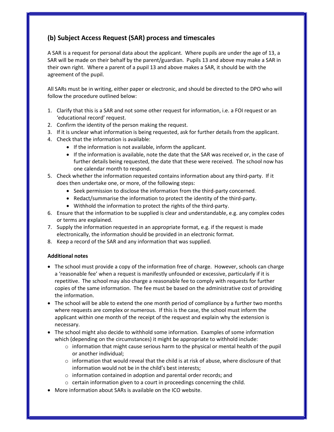## (b) Subject Access Request (SAR) process and timescales

A SAR is a request for personal data about the applicant. Where pupils are under the age of 13, a SAR will be made on their behalf by the parent/guardian. Pupils 13 and above may make a SAR in their own right. Where a parent of a pupil 13 and above makes a SAR, it should be with the agreement of the pupil.

All SARs must be in writing, either paper or electronic, and should be directed to the DPO who will follow the procedure outlined below:

- 1. Clarify that this is a SAR and not some other request for information, i.e. a FOI request or an 'educational record' request.
- 2. Confirm the identity of the person making the request.
- 3. If it is unclear what information is being requested, ask for further details from the applicant.
- 4. Check that the information is available:
	- If the information is not available, inform the applicant.
	- If the information is available, note the date that the SAR was received or, in the case of further details being requested, the date that these were received. The school now has one calendar month to respond.
- 5. Check whether the information requested contains information about any third-party. If it does then undertake one, or more, of the following steps:
	- Seek permission to disclose the information from the third-party concerned.
	- Redact/summarise the information to protect the identity of the third-party.
	- Withhold the information to protect the rights of the third-party.
- 6. Ensure that the information to be supplied is clear and understandable, e.g. any complex codes or terms are explained.
- 7. Supply the information requested in an appropriate format, e.g. if the request is made electronically, the information should be provided in an electronic format.
- 8. Keep a record of the SAR and any information that was supplied.

#### Additional notes

- The school must provide a copy of the information free of charge. However, schools can charge a 'reasonable fee' when a request is manifestly unfounded or excessive, particularly if it is repetitive. The school may also charge a reasonable fee to comply with requests for further copies of the same information. The fee must be based on the administrative cost of providing the information.
- The school will be able to extend the one month period of compliance by a further two months where requests are complex or numerous. If this is the case, the school must inform the applicant within one month of the receipt of the request and explain why the extension is necessary.
- The school might also decide to withhold some information. Examples of some information which (depending on the circumstances) it might be appropriate to withhold include:
	- $\circ$  information that might cause serious harm to the physical or mental health of the pupil or another individual;
	- $\circ$  information that would reveal that the child is at risk of abuse, where disclosure of that information would not be in the child's best interests;
	- o information contained in adoption and parental order records; and
	- $\circ$  certain information given to a court in proceedings concerning the child.
- More information about SARs is available on the ICO website.